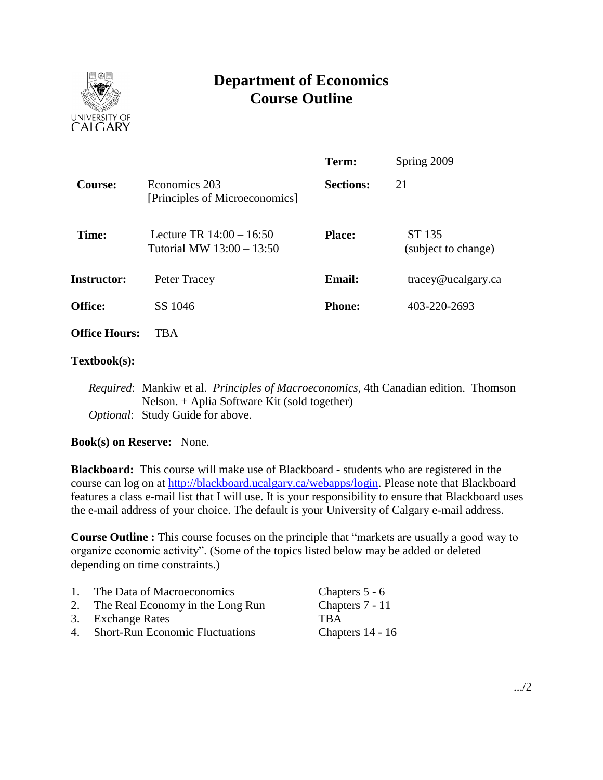

# **Department of Economics Course Outline**

|                      |                                                         | Term:                         | Spring 2009                                     |  |
|----------------------|---------------------------------------------------------|-------------------------------|-------------------------------------------------|--|
| <b>Course:</b>       | Economics 203<br>[Principles of Microeconomics]         | <b>Sections:</b>              | 21                                              |  |
| Time:                | Lecture TR $14:00 - 16:50$<br>Tutorial MW 13:00 - 13:50 | <b>Place:</b>                 | ST 135<br>(subject to change)                   |  |
| <b>Instructor:</b>   | Peter Tracey                                            | <b>Email:</b>                 | $trace\$ <i>e</i> $u$ $c$ $a$ $g$ $arc$ $c$ $a$ |  |
| <b>Office:</b>       | SS 1046                                                 | 403-220-2693<br><b>Phone:</b> |                                                 |  |
| <b>Office Hours:</b> | TBA                                                     |                               |                                                 |  |

#### **Textbook(s):**

*Required*: Mankiw et al. *Principles of Macroeconomics*, 4th Canadian edition. Thomson Nelson. + Aplia Software Kit (sold together) *Optional*: Study Guide for above.

**Book(s) on Reserve:** None.

**Blackboard:** This course will make use of Blackboard - students who are registered in the course can log on at [http://blackboard.ucalgary.ca/webapps/login.](http://blackboard.ucalgary.ca/webapps/login) Please note that Blackboard features a class e-mail list that I will use. It is your responsibility to ensure that Blackboard uses the e-mail address of your choice. The default is your University of Calgary e-mail address.

**Course Outline :** This course focuses on the principle that "markets are usually a good way to organize economic activity". (Some of the topics listed below may be added or deleted depending on time constraints.)

| $\mathbf{1}$ . | The Data of Macroeconomics          | Chapters 5 - 6   |
|----------------|-------------------------------------|------------------|
|                | 2. The Real Economy in the Long Run | Chapters 7 - 11  |
|                | 3. Exchange Rates                   | TBA              |
|                | 4. Short-Run Economic Fluctuations  | Chapters 14 - 16 |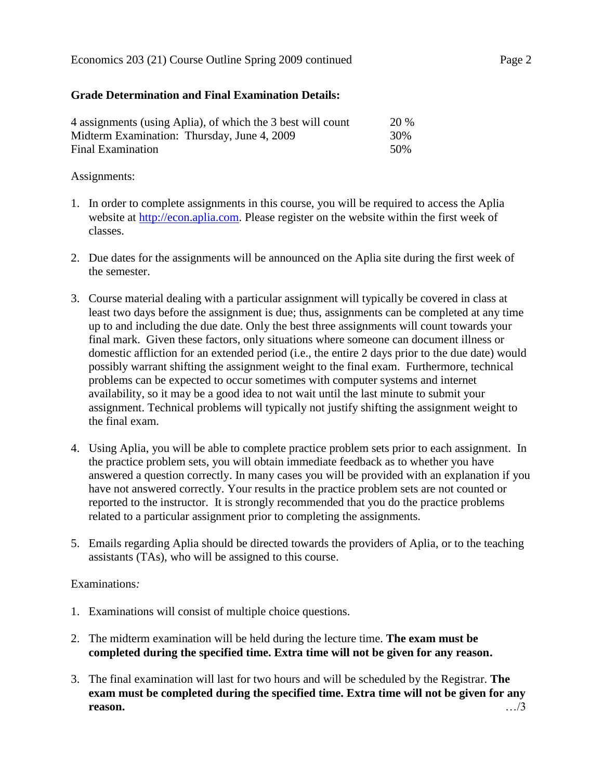## **Grade Determination and Final Examination Details:**

| 4 assignments (using Aplia), of which the 3 best will count | <b>20 %</b> |
|-------------------------------------------------------------|-------------|
| Midterm Examination: Thursday, June 4, 2009                 | 30%         |
| Final Examination                                           | .50%        |

### Assignments:

- 1. In order to complete assignments in this course, you will be required to access the Aplia website at [http://econ.aplia.com.](http://econ.aplia.com/) Please register on the website within the first week of classes.
- 2. Due dates for the assignments will be announced on the Aplia site during the first week of the semester.
- 3. Course material dealing with a particular assignment will typically be covered in class at least two days before the assignment is due; thus, assignments can be completed at any time up to and including the due date. Only the best three assignments will count towards your final mark. Given these factors, only situations where someone can document illness or domestic affliction for an extended period (i.e., the entire 2 days prior to the due date) would possibly warrant shifting the assignment weight to the final exam. Furthermore, technical problems can be expected to occur sometimes with computer systems and internet availability, so it may be a good idea to not wait until the last minute to submit your assignment. Technical problems will typically not justify shifting the assignment weight to the final exam.
- 4. Using Aplia, you will be able to complete practice problem sets prior to each assignment. In the practice problem sets, you will obtain immediate feedback as to whether you have answered a question correctly. In many cases you will be provided with an explanation if you have not answered correctly. Your results in the practice problem sets are not counted or reported to the instructor. It is strongly recommended that you do the practice problems related to a particular assignment prior to completing the assignments.
- 5. Emails regarding Aplia should be directed towards the providers of Aplia, or to the teaching assistants (TAs), who will be assigned to this course.

### Examinations*:*

- 1. Examinations will consist of multiple choice questions.
- 2. The midterm examination will be held during the lecture time. **The exam must be completed during the specified time. Extra time will not be given for any reason.**
- 3. The final examination will last for two hours and will be scheduled by the Registrar. **The exam must be completed during the specified time. Extra time will not be given for any reason.** …/3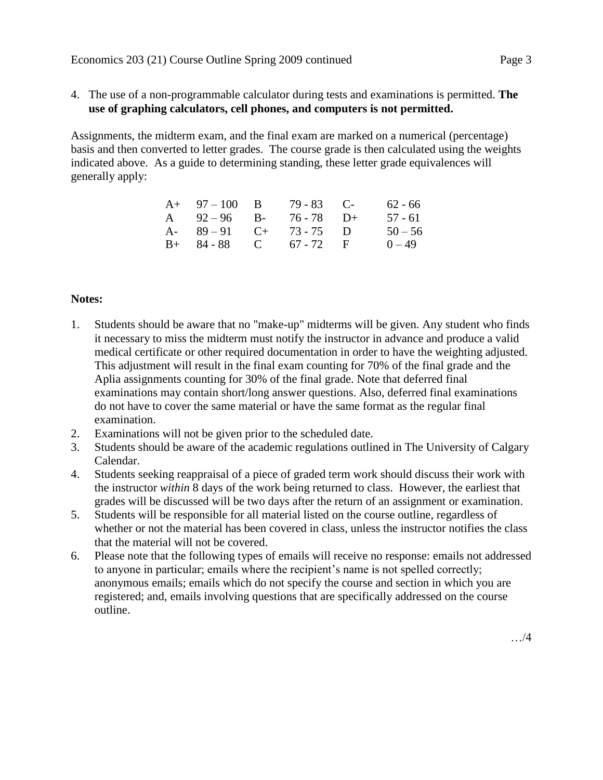4. The use of a non-programmable calculator during tests and examinations is permitted. **The use of graphing calculators, cell phones, and computers is not permitted.**

Assignments, the midterm exam, and the final exam are marked on a numerical (percentage) basis and then converted to letter grades. The course grade is then calculated using the weights indicated above. As a guide to determining standing, these letter grade equivalences will generally apply:

| $A+ 97-100$ B           | $79 - 83$ C- | $62 - 66$ |
|-------------------------|--------------|-----------|
| A $92-96$ B- $76-78$ D+ |              | 57 - 61   |
| A- $89-91$ C+ 73-75 D   |              | $50 - 56$ |
| $B+ 84-88$ C 67 - 72 F  |              | $0 - 49$  |

### **Notes:**

- 1. Students should be aware that no "make-up" midterms will be given. Any student who finds it necessary to miss the midterm must notify the instructor in advance and produce a valid medical certificate or other required documentation in order to have the weighting adjusted. This adjustment will result in the final exam counting for 70% of the final grade and the Aplia assignments counting for 30% of the final grade. Note that deferred final examinations may contain short/long answer questions. Also, deferred final examinations do not have to cover the same material or have the same format as the regular final examination.
- 2. Examinations will not be given prior to the scheduled date.
- 3. Students should be aware of the academic regulations outlined in The University of Calgary Calendar.
- 4. Students seeking reappraisal of a piece of graded term work should discuss their work with the instructor *within* 8 days of the work being returned to class. However, the earliest that grades will be discussed will be two days after the return of an assignment or examination.
- 5. Students will be responsible for all material listed on the course outline, regardless of whether or not the material has been covered in class, unless the instructor notifies the class that the material will not be covered.
- 6. Please note that the following types of emails will receive no response: emails not addressed to anyone in particular; emails where the recipient's name is not spelled correctly; anonymous emails; emails which do not specify the course and section in which you are registered; and, emails involving questions that are specifically addressed on the course outline.